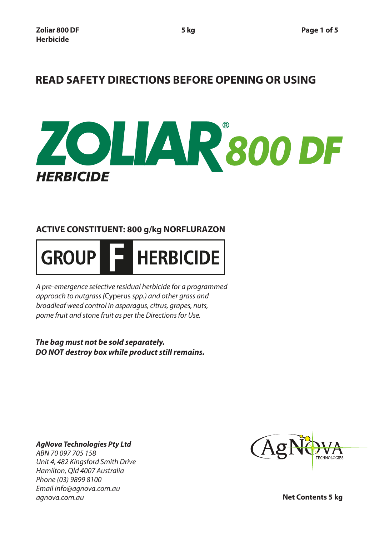# **READ SAFETY DIRECTIONS BEFORE OPENING OR USING**



## **ACTIVE CONSTITUENT: 800 g/kg NORFLURAZON**



*A pre-emergence selective residual herbicide for a programmed approach to nutgrass (*Cyperus *spp.) and other grass and broadleaf weed control in asparagus, citrus, grapes, nuts, pome fruit and stone fruit as per the Directions for Use.*

*The bag must not be sold separately. DO NOT destroy box while product still remains.*

*AgNova Technologies Pty Ltd ABN 70 097 705 158 Unit 4, 482 Kingsford Smith Drive Hamilton, Qld 4007 Australia Phone (03) 9899 8100 Email info@agnova.com.au agnova.com.au*



**Net Contents 5 kg**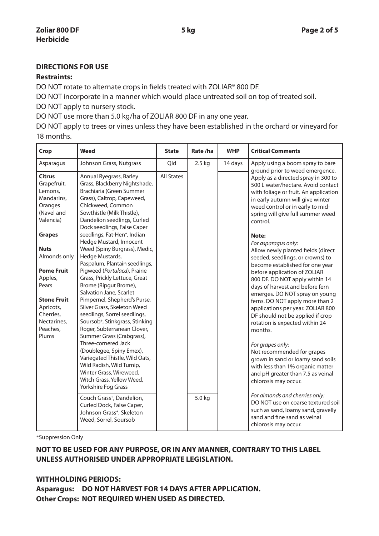#### **DIRECTIONS FOR USE**

#### **Restraints:**

DO NOT rotate to alternate crops in fields treated with ZOLIAR® 800 DF.

DO NOT incorporate in a manner which would place untreated soil on top of treated soil. DO NOT apply to nursery stock.

DO NOT use more than 5.0 kg/ha of ZOLIAR 800 DF in any one year.

DO NOT apply to trees or vines unless they have been established in the orchard or vineyard for 18 months.

| Crop                                                                                                                                                                                                                                                                     | Weed                                                                                                                                                                                                                                                                                                                                                                                                                                                                                                                                                                                                                                                                                                                                                                                                                                                                                                                            | <b>State</b>      | Rate/ha | <b>WHP</b> | <b>Critical Comments</b>                                                                                                                                                                                                                                                                                                                                                                                                                                                                                                                                                                                                                                                                                                                                                                                                                                                         |
|--------------------------------------------------------------------------------------------------------------------------------------------------------------------------------------------------------------------------------------------------------------------------|---------------------------------------------------------------------------------------------------------------------------------------------------------------------------------------------------------------------------------------------------------------------------------------------------------------------------------------------------------------------------------------------------------------------------------------------------------------------------------------------------------------------------------------------------------------------------------------------------------------------------------------------------------------------------------------------------------------------------------------------------------------------------------------------------------------------------------------------------------------------------------------------------------------------------------|-------------------|---------|------------|----------------------------------------------------------------------------------------------------------------------------------------------------------------------------------------------------------------------------------------------------------------------------------------------------------------------------------------------------------------------------------------------------------------------------------------------------------------------------------------------------------------------------------------------------------------------------------------------------------------------------------------------------------------------------------------------------------------------------------------------------------------------------------------------------------------------------------------------------------------------------------|
| Asparagus                                                                                                                                                                                                                                                                | Johnson Grass, Nutgrass                                                                                                                                                                                                                                                                                                                                                                                                                                                                                                                                                                                                                                                                                                                                                                                                                                                                                                         | Qld               | 2.5 kg  | 14 days    | Apply using a boom spray to bare<br>ground prior to weed emergence.                                                                                                                                                                                                                                                                                                                                                                                                                                                                                                                                                                                                                                                                                                                                                                                                              |
| <b>Citrus</b><br>Grapefruit,<br>Lemons,<br>Mandarins,<br>Oranges<br>(Navel and<br>Valencia)<br><b>Grapes</b><br><b>Nuts</b><br>Almonds only<br><b>Pome Fruit</b><br>Apples,<br>Pears<br><b>Stone Fruit</b><br>Apricots,<br>Cherries,<br>Nectarines,<br>Peaches,<br>Plums | Annual Ryegrass, Barley<br>Grass, Blackberry Nightshade,<br>Brachiaria (Green Summer<br>Grass), Caltrop, Capeweed,<br>Chickweed, Common<br>Sowthistle (Milk Thistle),<br>Dandelion seedlings, Curled<br>Dock seedlings, False Caper<br>seedlings, Fat-Hen <sup>+</sup> , Indian<br>Hedge Mustard, Innocent<br>Weed (Spiny Burgrass), Medic,<br>Hedge Mustards,<br>Paspalum, Plantain seedlings,<br>Pigweed (Portulaca), Prairie<br>Grass, Prickly Lettuce, Great<br>Brome (Ripgut Brome),<br>Salvation Jane, Scarlet<br>Pimpernel, Shepherd's Purse,<br>Silver Grass, Skeleton Weed<br>seedlings, Sorrel seedlings,<br>Soursob <sup>+</sup> , Stinkgrass, Stinking<br>Roger, Subterranean Clover,<br>Summer Grass (Crabgrass),<br>Three-cornered Jack<br>(Doublegee, Spiny Emex),<br>Variegated Thistle, Wild Oats,<br>Wild Radish, Wild Turnip,<br>Winter Grass, Wireweed,<br>Witch Grass, Yellow Weed,<br>Yorkshire Fog Grass | <b>All States</b> |         |            | Apply as a directed spray in 300 to<br>500 L water/hectare. Avoid contact<br>with foliage or fruit. An application<br>in early autumn will give winter<br>weed control or in early to mid-<br>spring will give full summer weed<br>control.<br>Note:<br>For asparagus only:<br>Allow newly planted fields (direct<br>seeded, seedlings, or crowns) to<br>become established for one year<br>before application of ZOLIAR<br>800 DF. DO NOT apply within 14<br>days of harvest and before fern<br>emerges. DO NOT spray on young<br>ferns. DO NOT apply more than 2<br>applications per year. ZOLIAR 800<br>DF should not be applied if crop<br>rotation is expected within 24<br>months.<br>For grapes only:<br>Not recommended for grapes<br>grown in sand or loamy sand soils<br>with less than 1% organic matter<br>and pH greater than 7.5 as veinal<br>chlorosis may occur. |
|                                                                                                                                                                                                                                                                          | Couch Grass <sup>+</sup> , Dandelion,<br>Curled Dock, False Caper,<br>Johnson Grass <sup>+</sup> , Skeleton<br>Weed, Sorrel, Soursob                                                                                                                                                                                                                                                                                                                                                                                                                                                                                                                                                                                                                                                                                                                                                                                            |                   | 5.0 kg  |            | For almonds and cherries only:<br>DO NOT use on coarse textured soil<br>such as sand, loamy sand, gravelly<br>sand and fine sand as veinal                                                                                                                                                                                                                                                                                                                                                                                                                                                                                                                                                                                                                                                                                                                                       |
|                                                                                                                                                                                                                                                                          |                                                                                                                                                                                                                                                                                                                                                                                                                                                                                                                                                                                                                                                                                                                                                                                                                                                                                                                                 |                   |         |            | chlorosis may occur.                                                                                                                                                                                                                                                                                                                                                                                                                                                                                                                                                                                                                                                                                                                                                                                                                                                             |

+Suppression Only

### **NOT TO BE USED FOR ANY PURPOSE, OR IN ANY MANNER, CONTRARY TO THIS LABEL UNLESS AUTHORISED UNDER APPROPRIATE LEGISLATION.**

#### **WITHHOLDING PERIODS:**

**Asparagus: DO NOT HARVEST FOR 14 DAYS AFTER APPLICATION. Other Crops: NOT REQUIRED WHEN USED AS DIRECTED.**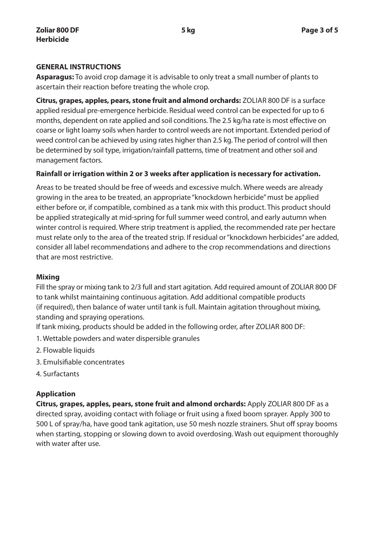#### **GENERAL INSTRUCTIONS**

**Asparagus:** To avoid crop damage it is advisable to only treat a small number of plants to ascertain their reaction before treating the whole crop.

**Citrus, grapes, apples, pears, stone fruit and almond orchards:** ZOLIAR 800 DF is a surface applied residual pre-emergence herbicide. Residual weed control can be expected for up to 6 months, dependent on rate applied and soil conditions. The 2.5 kg/ha rate is most effective on coarse or light loamy soils when harder to control weeds are not important. Extended period of weed control can be achieved by using rates higher than 2.5 kg. The period of control will then be determined by soil type, irrigation/rainfall patterns, time of treatment and other soil and management factors.

#### **Rainfall or irrigation within 2 or 3 weeks after application is necessary for activation.**

Areas to be treated should be free of weeds and excessive mulch. Where weeds are already growing in the area to be treated, an appropriate "knockdown herbicide" must be applied either before or, if compatible, combined as a tank mix with this product. This product should be applied strategically at mid-spring for full summer weed control, and early autumn when winter control is required. Where strip treatment is applied, the recommended rate per hectare must relate only to the area of the treated strip. If residual or "knockdown herbicides" are added, consider all label recommendations and adhere to the crop recommendations and directions that are most restrictive.

#### **Mixing**

Fill the spray or mixing tank to 2/3 full and start agitation. Add required amount of ZOLIAR 800 DF to tank whilst maintaining continuous agitation. Add additional compatible products (if required), then balance of water until tank is full. Maintain agitation throughout mixing, standing and spraying operations.

If tank mixing, products should be added in the following order, after ZOLIAR 800 DF:

- 1. Wettable powders and water dispersible granules
- 2. Flowable liquids
- 3. Emulsifiable concentrates
- 4. Surfactants

#### **Application**

**Citrus, grapes, apples, pears, stone fruit and almond orchards:** Apply ZOLIAR 800 DF as a directed spray, avoiding contact with foliage or fruit using a fixed boom sprayer. Apply 300 to 500 L of spray/ha, have good tank agitation, use 50 mesh nozzle strainers. Shut off spray booms when starting, stopping or slowing down to avoid overdosing. Wash out equipment thoroughly with water after use.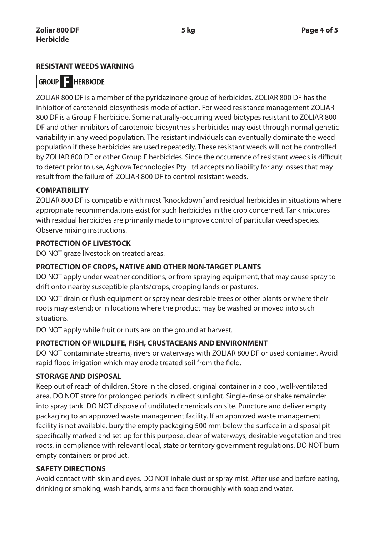#### **RESISTANT WEEDS WARNING**

## **GROUP E HERBICIDE**

ZOLIAR 800 DF is a member of the pyridazinone group of herbicides. ZOLIAR 800 DF has the inhibitor of carotenoid biosynthesis mode of action. For weed resistance management ZOLIAR 800 DF is a Group F herbicide. Some naturally-occurring weed biotypes resistant to ZOLIAR 800 DF and other inhibitors of carotenoid biosynthesis herbicides may exist through normal genetic variability in any weed population. The resistant individuals can eventually dominate the weed population if these herbicides are used repeatedly. These resistant weeds will not be controlled by ZOLIAR 800 DF or other Group F herbicides. Since the occurrence of resistant weeds is difficult to detect prior to use, AgNova Technologies Pty Ltd accepts no liability for any losses that may result from the failure of ZOLIAR 800 DF to control resistant weeds.

#### **COMPATIBILITY**

ZOLIAR 800 DF is compatible with most "knockdown" and residual herbicides in situations where appropriate recommendations exist for such herbicides in the crop concerned. Tank mixtures with residual herbicides are primarily made to improve control of particular weed species. Observe mixing instructions.

#### **PROTECTION OF LIVESTOCK**

DO NOT graze livestock on treated areas.

#### **PROTECTION OF CROPS, NATIVE AND OTHER NON-TARGET PLANTS**

DO NOT apply under weather conditions, or from spraying equipment, that may cause spray to drift onto nearby susceptible plants/crops, cropping lands or pastures.

DO NOT drain or flush equipment or spray near desirable trees or other plants or where their roots may extend; or in locations where the product may be washed or moved into such situations.

DO NOT apply while fruit or nuts are on the ground at harvest.

#### **PROTECTION OF WILDLIFE, FISH, CRUSTACEANS AND ENVIRONMENT**

DO NOT contaminate streams, rivers or waterways with ZOLIAR 800 DF or used container. Avoid rapid flood irrigation which may erode treated soil from the field.

#### **STORAGE AND DISPOSAL**

Keep out of reach of children. Store in the closed, original container in a cool, well-ventilated area. DO NOT store for prolonged periods in direct sunlight. Single-rinse or shake remainder into spray tank. DO NOT dispose of undiluted chemicals on site. Puncture and deliver empty packaging to an approved waste management facility. If an approved waste management facility is not available, bury the empty packaging 500 mm below the surface in a disposal pit specifically marked and set up for this purpose, clear of waterways, desirable vegetation and tree roots, in compliance with relevant local, state or territory government regulations. DO NOT burn empty containers or product.

#### **SAFETY DIRECTIONS**

Avoid contact with skin and eyes. DO NOT inhale dust or spray mist. After use and before eating, drinking or smoking, wash hands, arms and face thoroughly with soap and water.